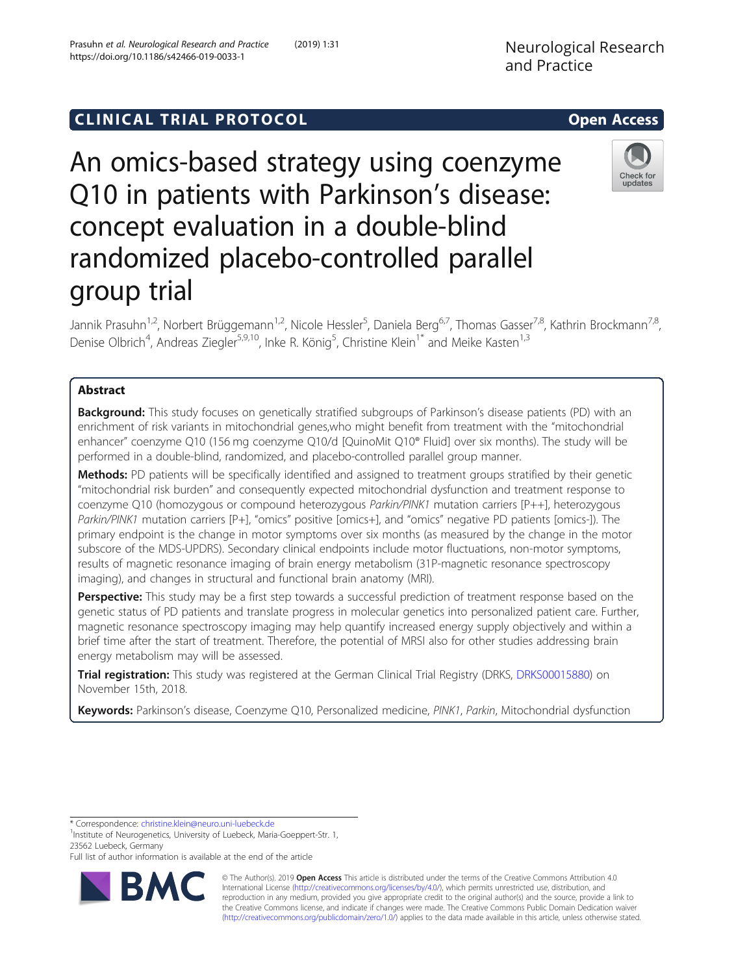## **CLINICAL TRIAL PROTOCOL CLINICAL TRIAL PROTOCOL**

# An omics-based strategy using coenzyme Q10 in patients with Parkinson's disease: concept evaluation in a double-blind randomized placebo-controlled parallel group trial

Jannik Prasuhn<sup>1,2</sup>, Norbert Brüggemann<sup>1,2</sup>, Nicole Hessler<sup>5</sup>, Daniela Berg<sup>6,7</sup>, Thomas Gasser<sup>7,8</sup>, Kathrin Brockmann<sup>7,8</sup>, Denise Olbrich<sup>4</sup>, Andreas Ziegler<sup>5,9,10</sup>, Inke R. König<sup>5</sup>, Christine Klein<sup>1\*</sup> and Meike Kasten<sup>1,3</sup>

## Abstract

**Background:** This study focuses on genetically stratified subgroups of Parkinson's disease patients (PD) with an enrichment of risk variants in mitochondrial genes,who might benefit from treatment with the "mitochondrial enhancer" coenzyme Q10 (156 mg coenzyme Q10/d [QuinoMit Q10® Fluid] over six months). The study will be performed in a double-blind, randomized, and placebo-controlled parallel group manner.

Methods: PD patients will be specifically identified and assigned to treatment groups stratified by their genetic "mitochondrial risk burden" and consequently expected mitochondrial dysfunction and treatment response to coenzyme Q10 (homozygous or compound heterozygous Parkin/PINK1 mutation carriers [P++], heterozygous Parkin/PINK1 mutation carriers [P+], "omics" positive [omics+], and "omics" negative PD patients [omics-]). The primary endpoint is the change in motor symptoms over six months (as measured by the change in the motor subscore of the MDS-UPDRS). Secondary clinical endpoints include motor fluctuations, non-motor symptoms, results of magnetic resonance imaging of brain energy metabolism (31P-magnetic resonance spectroscopy imaging), and changes in structural and functional brain anatomy (MRI).

Perspective: This study may be a first step towards a successful prediction of treatment response based on the genetic status of PD patients and translate progress in molecular genetics into personalized patient care. Further, magnetic resonance spectroscopy imaging may help quantify increased energy supply objectively and within a brief time after the start of treatment. Therefore, the potential of MRSI also for other studies addressing brain energy metabolism may will be assessed.

Trial registration: This study was registered at the German Clinical Trial Registry (DRKS, [DRKS00015880\)](https://www.drks.de/drks_web/navigate.do?navigationId=trial.HTML&TRIAL_ID=DRKS00015880) on November 15th, 2018.

Keywords: Parkinson's disease, Coenzyme Q10, Personalized medicine, PINK1, Parkin, Mitochondrial dysfunction

<sup>1</sup>Institute of Neurogenetics, University of Luebeck, Maria-Goeppert-Str. 1, 23562 Luebeck, Germany

Full list of author information is available at the end of the article

© The Author(s). 2019 Open Access This article is distributed under the terms of the Creative Commons Attribution 4.0 International License [\(http://creativecommons.org/licenses/by/4.0/](http://creativecommons.org/licenses/by/4.0/)), which permits unrestricted use, distribution, and reproduction in any medium, provided you give appropriate credit to the original author(s) and the source, provide a link to the Creative Commons license, and indicate if changes were made. The Creative Commons Public Domain Dedication waiver [\(http://creativecommons.org/publicdomain/zero/1.0/](http://creativecommons.org/publicdomain/zero/1.0/)) applies to the data made available in this article, unless otherwise stated.





<sup>\*</sup> Correspondence: [christine.klein@neuro.uni-luebeck.de](mailto:christine.klein@neuro.uni-luebeck.de) <sup>1</sup>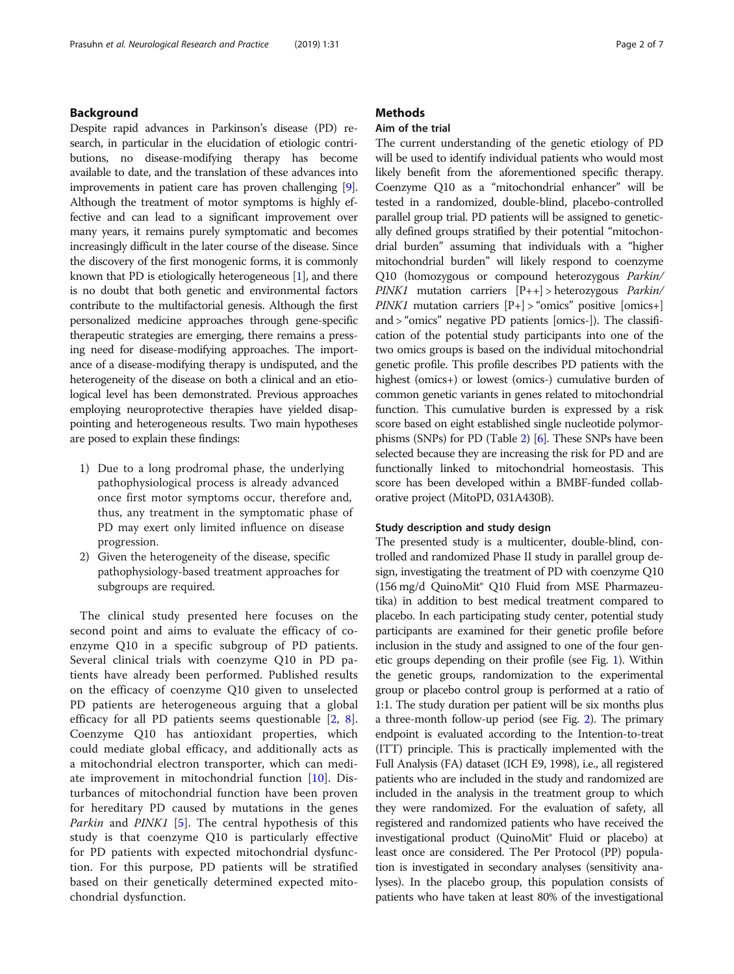## Background

Despite rapid advances in Parkinson's disease (PD) research, in particular in the elucidation of etiologic contributions, no disease-modifying therapy has become available to date, and the translation of these advances into improvements in patient care has proven challenging [[9](#page-6-0)]. Although the treatment of motor symptoms is highly effective and can lead to a significant improvement over many years, it remains purely symptomatic and becomes increasingly difficult in the later course of the disease. Since the discovery of the first monogenic forms, it is commonly known that PD is etiologically heterogeneous [\[1](#page-5-0)], and there is no doubt that both genetic and environmental factors contribute to the multifactorial genesis. Although the first personalized medicine approaches through gene-specific therapeutic strategies are emerging, there remains a pressing need for disease-modifying approaches. The importance of a disease-modifying therapy is undisputed, and the heterogeneity of the disease on both a clinical and an etiological level has been demonstrated. Previous approaches employing neuroprotective therapies have yielded disappointing and heterogeneous results. Two main hypotheses are posed to explain these findings:

- 1) Due to a long prodromal phase, the underlying pathophysiological process is already advanced once first motor symptoms occur, therefore and, thus, any treatment in the symptomatic phase of PD may exert only limited influence on disease progression.
- 2) Given the heterogeneity of the disease, specific pathophysiology-based treatment approaches for subgroups are required.

The clinical study presented here focuses on the second point and aims to evaluate the efficacy of coenzyme Q10 in a specific subgroup of PD patients. Several clinical trials with coenzyme Q10 in PD patients have already been performed. Published results on the efficacy of coenzyme Q10 given to unselected PD patients are heterogeneous arguing that a global efficacy for all PD patients seems questionable [\[2](#page-5-0), [8](#page-6-0)]. Coenzyme Q10 has antioxidant properties, which could mediate global efficacy, and additionally acts as a mitochondrial electron transporter, which can mediate improvement in mitochondrial function [[10](#page-6-0)]. Disturbances of mitochondrial function have been proven for hereditary PD caused by mutations in the genes Parkin and PINK1 [\[5](#page-6-0)]. The central hypothesis of this study is that coenzyme Q10 is particularly effective for PD patients with expected mitochondrial dysfunction. For this purpose, PD patients will be stratified based on their genetically determined expected mitochondrial dysfunction.

## **Methods**

## Aim of the trial

The current understanding of the genetic etiology of PD will be used to identify individual patients who would most likely benefit from the aforementioned specific therapy. Coenzyme Q10 as a "mitochondrial enhancer" will be tested in a randomized, double-blind, placebo-controlled parallel group trial. PD patients will be assigned to genetically defined groups stratified by their potential "mitochondrial burden" assuming that individuals with a "higher mitochondrial burden" will likely respond to coenzyme Q10 (homozygous or compound heterozygous Parkin/ PINK1 mutation carriers  $[P++] >$  heterozygous *Parkin/ PINK1* mutation carriers  $[P+]$  > "omics" positive [omics+] and > "omics" negative PD patients [omics-]). The classification of the potential study participants into one of the two omics groups is based on the individual mitochondrial genetic profile. This profile describes PD patients with the highest (omics+) or lowest (omics-) cumulative burden of common genetic variants in genes related to mitochondrial function. This cumulative burden is expressed by a risk score based on eight established single nucleotide polymorphisms (SNPs) for PD (Table [2](#page-4-0)) [\[6\]](#page-6-0). These SNPs have been selected because they are increasing the risk for PD and are functionally linked to mitochondrial homeostasis. This score has been developed within a BMBF-funded collaborative project (MitoPD, 031A430B).

## Study description and study design

The presented study is a multicenter, double-blind, controlled and randomized Phase II study in parallel group design, investigating the treatment of PD with coenzyme Q10 (156 mg/d QuinoMit® Q10 Fluid from MSE Pharmazeutika) in addition to best medical treatment compared to placebo. In each participating study center, potential study participants are examined for their genetic profile before inclusion in the study and assigned to one of the four genetic groups depending on their profile (see Fig. [1\)](#page-2-0). Within the genetic groups, randomization to the experimental group or placebo control group is performed at a ratio of 1:1. The study duration per patient will be six months plus a three-month follow-up period (see Fig. [2\)](#page-2-0). The primary endpoint is evaluated according to the Intention-to-treat (ITT) principle. This is practically implemented with the Full Analysis (FA) dataset (ICH E9, 1998), i.e., all registered patients who are included in the study and randomized are included in the analysis in the treatment group to which they were randomized. For the evaluation of safety, all registered and randomized patients who have received the investigational product (QuinoMit® Fluid or placebo) at least once are considered. The Per Protocol (PP) population is investigated in secondary analyses (sensitivity analyses). In the placebo group, this population consists of patients who have taken at least 80% of the investigational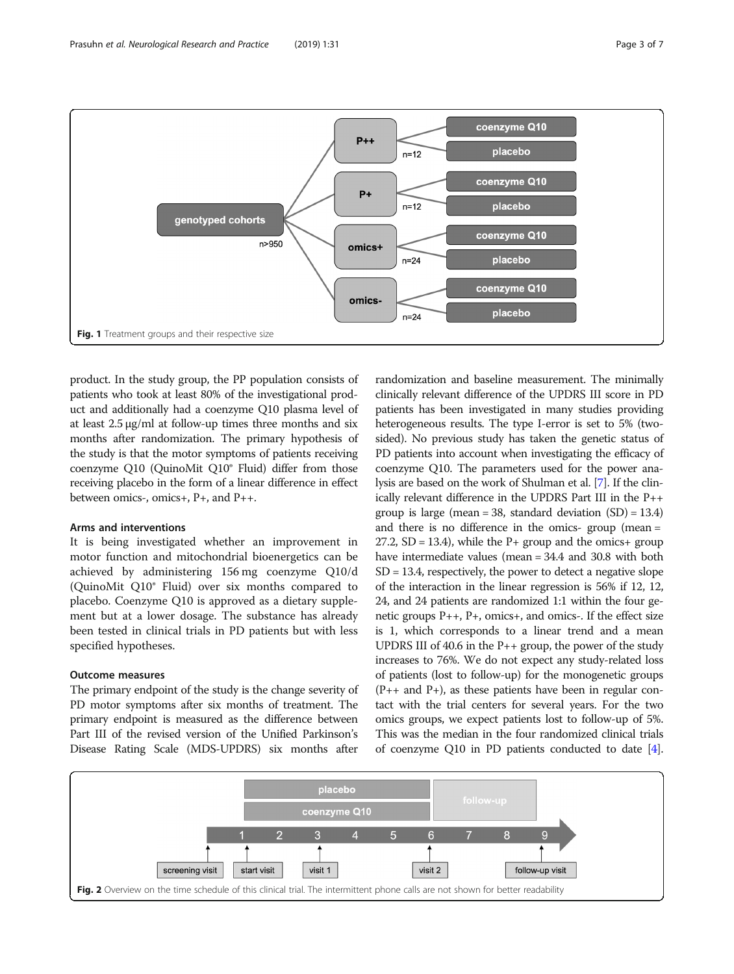<span id="page-2-0"></span>

product. In the study group, the PP population consists of patients who took at least 80% of the investigational product and additionally had a coenzyme Q10 plasma level of at least 2.5 μg/ml at follow-up times three months and six months after randomization. The primary hypothesis of the study is that the motor symptoms of patients receiving coenzyme Q10 (QuinoMit Q10® Fluid) differ from those receiving placebo in the form of a linear difference in effect between omics-, omics+, P+, and P++.

## Arms and interventions

It is being investigated whether an improvement in motor function and mitochondrial bioenergetics can be achieved by administering 156 mg coenzyme Q10/d (QuinoMit Q10® Fluid) over six months compared to placebo. Coenzyme Q10 is approved as a dietary supplement but at a lower dosage. The substance has already been tested in clinical trials in PD patients but with less specified hypotheses.

### Outcome measures

The primary endpoint of the study is the change severity of PD motor symptoms after six months of treatment. The primary endpoint is measured as the difference between Part III of the revised version of the Unified Parkinson's Disease Rating Scale (MDS-UPDRS) six months after

randomization and baseline measurement. The minimally clinically relevant difference of the UPDRS III score in PD patients has been investigated in many studies providing heterogeneous results. The type I-error is set to 5% (twosided). No previous study has taken the genetic status of PD patients into account when investigating the efficacy of coenzyme Q10. The parameters used for the power analysis are based on the work of Shulman et al. [\[7\]](#page-6-0). If the clinically relevant difference in the UPDRS Part III in the P++ group is large (mean = 38, standard deviation  $(SD) = 13.4$ ) and there is no difference in the omics- group (mean =  $27.2$ , SD = 13.4), while the P+ group and the omics+ group have intermediate values (mean = 34.4 and 30.8 with both SD = 13.4, respectively, the power to detect a negative slope of the interaction in the linear regression is 56% if 12, 12, 24, and 24 patients are randomized 1:1 within the four genetic groups  $P_{++}$ ,  $P_{+}$ , omics+, and omics-. If the effect size is 1, which corresponds to a linear trend and a mean UPDRS III of 40.6 in the  $P_{++}$  group, the power of the study increases to 76%. We do not expect any study-related loss of patients (lost to follow-up) for the monogenetic groups  $(P_{++}$  and  $P_{+}$ ), as these patients have been in regular contact with the trial centers for several years. For the two omics groups, we expect patients lost to follow-up of 5%. This was the median in the four randomized clinical trials of coenzyme Q10 in PD patients conducted to date [[4](#page-6-0)].

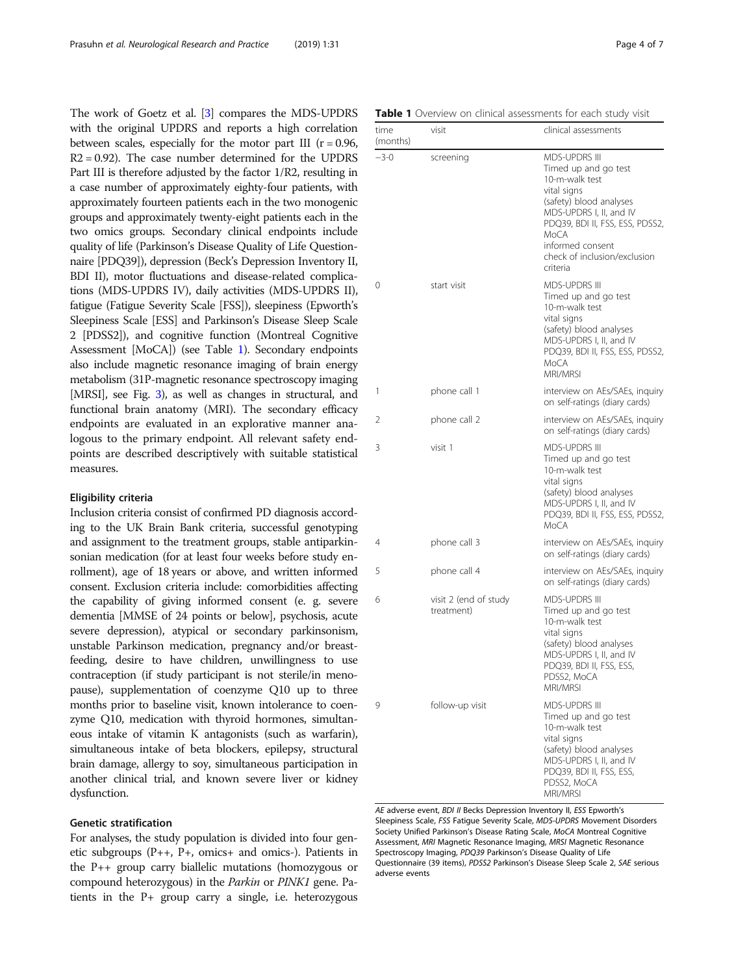The work of Goetz et al. [\[3\]](#page-5-0) compares the MDS-UPDRS with the original UPDRS and reports a high correlation between scales, especially for the motor part III  $(r = 0.96,$  $R2 = 0.92$ ). The case number determined for the UPDRS Part III is therefore adjusted by the factor 1/R2, resulting in a case number of approximately eighty-four patients, with approximately fourteen patients each in the two monogenic groups and approximately twenty-eight patients each in the two omics groups. Secondary clinical endpoints include quality of life (Parkinson's Disease Quality of Life Questionnaire [PDQ39]), depression (Beck's Depression Inventory II, BDI II), motor fluctuations and disease-related complications (MDS-UPDRS IV), daily activities (MDS-UPDRS II), fatigue (Fatigue Severity Scale [FSS]), sleepiness (Epworth's Sleepiness Scale [ESS] and Parkinson's Disease Sleep Scale 2 [PDSS2]), and cognitive function (Montreal Cognitive Assessment [MoCA]) (see Table 1). Secondary endpoints also include magnetic resonance imaging of brain energy metabolism (31P-magnetic resonance spectroscopy imaging [MRSI], see Fig. [3\)](#page-4-0), as well as changes in structural, and functional brain anatomy (MRI). The secondary efficacy endpoints are evaluated in an explorative manner analogous to the primary endpoint. All relevant safety endpoints are described descriptively with suitable statistical measures.

## Eligibility criteria

Inclusion criteria consist of confirmed PD diagnosis according to the UK Brain Bank criteria, successful genotyping and assignment to the treatment groups, stable antiparkinsonian medication (for at least four weeks before study enrollment), age of 18 years or above, and written informed consent. Exclusion criteria include: comorbidities affecting the capability of giving informed consent (e. g. severe dementia [MMSE of 24 points or below], psychosis, acute severe depression), atypical or secondary parkinsonism, unstable Parkinson medication, pregnancy and/or breastfeeding, desire to have children, unwillingness to use contraception (if study participant is not sterile/in menopause), supplementation of coenzyme Q10 up to three months prior to baseline visit, known intolerance to coenzyme Q10, medication with thyroid hormones, simultaneous intake of vitamin K antagonists (such as warfarin), simultaneous intake of beta blockers, epilepsy, structural brain damage, allergy to soy, simultaneous participation in another clinical trial, and known severe liver or kidney dysfunction.

## Genetic stratification

For analyses, the study population is divided into four genetic subgroups (P++, P+, omics+ and omics-). Patients in the P++ group carry biallelic mutations (homozygous or compound heterozygous) in the Parkin or PINK1 gene. Patients in the P+ group carry a single, i.e. heterozygous

Table 1 Overview on clinical assessments for each study visit

| time<br>(months) | visit                               | clinical assessments                                                                                                                                                                                                                           |  |  |
|------------------|-------------------------------------|------------------------------------------------------------------------------------------------------------------------------------------------------------------------------------------------------------------------------------------------|--|--|
| $-3-0$           | screening                           | <b>MDS-UPDRS III</b><br>Timed up and go test<br>10-m-walk test<br>vital signs<br>(safety) blood analyses<br>MDS-UPDRS I, II, and IV<br>PDQ39, BDI II, FSS, ESS, PDSS2,<br>MoCA<br>informed consent<br>check of inclusion/exclusion<br>criteria |  |  |
| 0                | start visit                         | <b>MDS-UPDRS III</b><br>Timed up and go test<br>10-m-walk test<br>vital signs<br>(safety) blood analyses<br>MDS-UPDRS I, II, and IV<br>PDQ39, BDI II, FSS, ESS, PDSS2,<br>MoCA<br>MRI/MRSI                                                     |  |  |
| 1                | phone call 1                        | interview on AEs/SAEs, inquiry<br>on self-ratings (diary cards)                                                                                                                                                                                |  |  |
| 2                | phone call 2                        | interview on AEs/SAEs, inquiry<br>on self-ratings (diary cards)                                                                                                                                                                                |  |  |
| 3                | visit 1                             | <b>MDS-UPDRS III</b><br>Timed up and go test<br>10-m-walk test<br>vital signs<br>(safety) blood analyses<br>MDS-UPDRS I, II, and IV<br>PDQ39, BDI II, FSS, ESS, PDSS2,<br>MoCA                                                                 |  |  |
| 4                | phone call 3                        | interview on AEs/SAEs, inquiry<br>on self-ratings (diary cards)                                                                                                                                                                                |  |  |
| 5                | phone call 4                        | interview on AEs/SAEs, inquiry<br>on self-ratings (diary cards)                                                                                                                                                                                |  |  |
| 6                | visit 2 (end of study<br>treatment) | <b>MDS-UPDRS III</b><br>Timed up and go test<br>10-m-walk test<br>vital signs<br>(safety) blood analyses<br>MDS-UPDRS I, II, and IV<br>PDQ39, BDI II, FSS, ESS,<br>PDSS2, MoCA<br>MRI/MRSI                                                     |  |  |
| 9                | follow-up visit                     | <b>MDS-UPDRS III</b><br>Timed up and go test<br>10-m-walk test<br>vital signs<br>(safety) blood analyses<br>MDS-UPDRS I, II, and IV<br>PDQ39, BDI II, FSS, ESS,<br>PDSS2, MoCA<br>MRI/MRSI                                                     |  |  |

AE adverse event, BDI II Becks Depression Inventory II, ESS Epworth's Sleepiness Scale, FSS Fatigue Severity Scale, MDS-UPDRS Movement Disorders Society Unified Parkinson's Disease Rating Scale, MoCA Montreal Cognitive Assessment, MRI Magnetic Resonance Imaging, MRSI Magnetic Resonance Spectroscopy Imaging, PDQ39 Parkinson's Disease Quality of Life Questionnaire (39 items), PDSS2 Parkinson's Disease Sleep Scale 2, SAE serious adverse events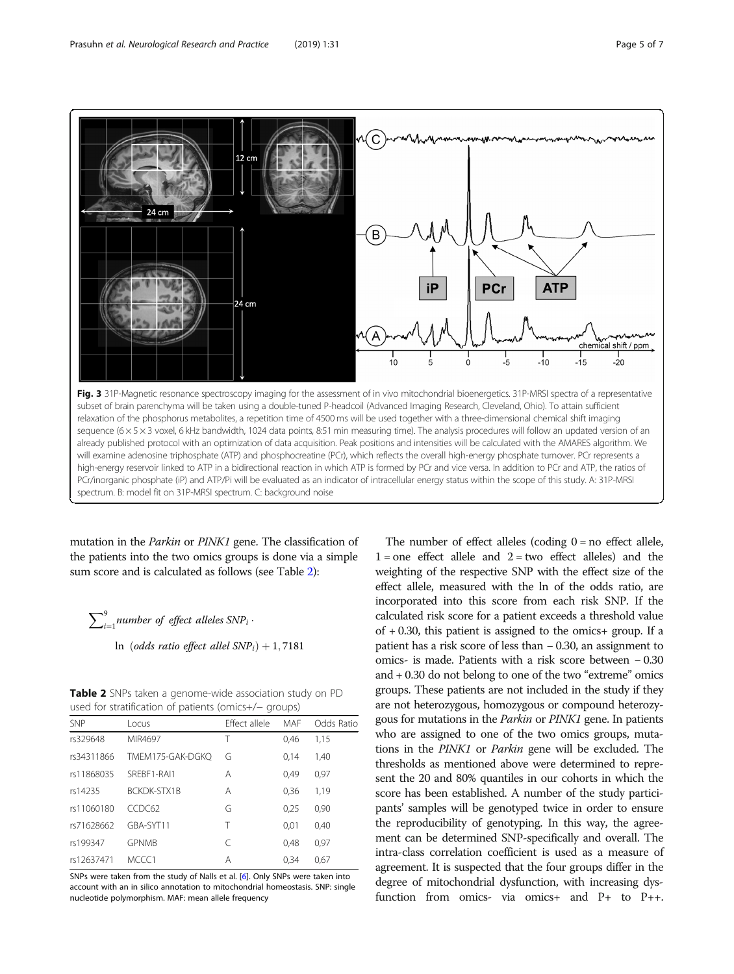<span id="page-4-0"></span>

mutation in the Parkin or PINK1 gene. The classification of the patients into the two omics groups is done via a simple sum score and is calculated as follows (see Table 2):

 $\sum_{i=1}^{9}$ number of effect alleles SNP<sub>i</sub> .

ln (odds ratio effect allel  $SNP_i$ ) + 1,7181

Table 2 SNPs taken a genome-wide association study on PD used for stratification of patients (omics+/− groups)

| asca for structured for patients (orines it aroups) |                    |               |      |            |  |
|-----------------------------------------------------|--------------------|---------------|------|------------|--|
| <b>SNP</b>                                          | Locus              | Effect allele | MAF  | Odds Ratio |  |
| rs329648                                            | MIR4697            | Т             | 0.46 | 1,15       |  |
| rs34311866                                          | TMEM175-GAK-DGKO   | G             | 0.14 | 1,40       |  |
| rs11868035                                          | SREBF1-RAI1        | Α             | 0.49 | 0,97       |  |
| rs14235                                             | <b>BCKDK-STX1B</b> | Α             | 0.36 | 1,19       |  |
| rs11060180                                          | CCDC62             | G             | 0.25 | 0,90       |  |
| rs71628662                                          | GBA-SYT11          | Т             | 0.01 | 0,40       |  |
| rs199347                                            | <b>GPNMB</b>       | C             | 0.48 | 0.97       |  |
| rs12637471                                          | MCCC1              | Α             | 0.34 | 0,67       |  |

SNPs were taken from the study of Nalls et al. [\[6](#page-6-0)]. Only SNPs were taken into account with an in silico annotation to mitochondrial homeostasis. SNP: single nucleotide polymorphism. MAF: mean allele frequency

The number of effect alleles (coding  $0 =$  no effect allele,  $1 =$  one effect allele and  $2 =$  two effect alleles) and the weighting of the respective SNP with the effect size of the effect allele, measured with the ln of the odds ratio, are incorporated into this score from each risk SNP. If the calculated risk score for a patient exceeds a threshold value of + 0.30, this patient is assigned to the omics+ group. If a patient has a risk score of less than − 0.30, an assignment to omics- is made. Patients with a risk score between − 0.30 and + 0.30 do not belong to one of the two "extreme" omics groups. These patients are not included in the study if they are not heterozygous, homozygous or compound heterozygous for mutations in the *Parkin* or *PINK1* gene. In patients who are assigned to one of the two omics groups, mutations in the PINK1 or Parkin gene will be excluded. The thresholds as mentioned above were determined to represent the 20 and 80% quantiles in our cohorts in which the score has been established. A number of the study participants' samples will be genotyped twice in order to ensure the reproducibility of genotyping. In this way, the agreement can be determined SNP-specifically and overall. The intra-class correlation coefficient is used as a measure of agreement. It is suspected that the four groups differ in the degree of mitochondrial dysfunction, with increasing dysfunction from omics- via omics+ and P+ to P++.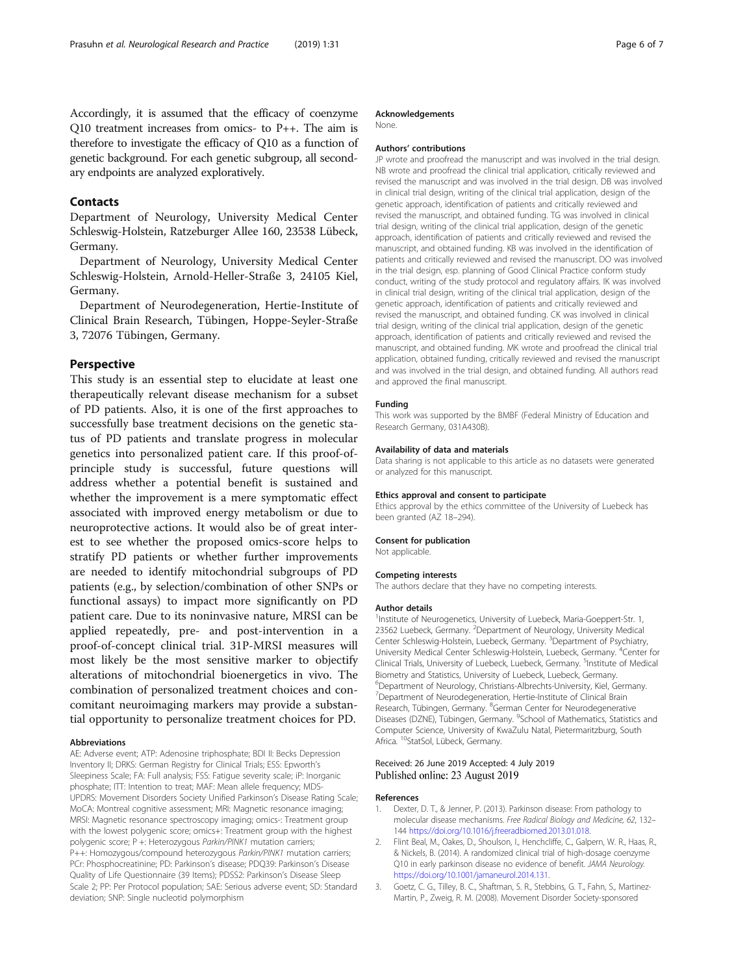<span id="page-5-0"></span>Accordingly, it is assumed that the efficacy of coenzyme Q10 treatment increases from omics- to P++. The aim is therefore to investigate the efficacy of Q10 as a function of genetic background. For each genetic subgroup, all secondary endpoints are analyzed exploratively.

## **Contacts**

Department of Neurology, University Medical Center Schleswig-Holstein, Ratzeburger Allee 160, 23538 Lübeck, Germany.

Department of Neurology, University Medical Center Schleswig-Holstein, Arnold-Heller-Straße 3, 24105 Kiel, Germany.

Department of Neurodegeneration, Hertie-Institute of Clinical Brain Research, Tübingen, Hoppe-Seyler-Straße 3, 72076 Tübingen, Germany.

## Perspective

This study is an essential step to elucidate at least one therapeutically relevant disease mechanism for a subset of PD patients. Also, it is one of the first approaches to successfully base treatment decisions on the genetic status of PD patients and translate progress in molecular genetics into personalized patient care. If this proof-ofprinciple study is successful, future questions will address whether a potential benefit is sustained and whether the improvement is a mere symptomatic effect associated with improved energy metabolism or due to neuroprotective actions. It would also be of great interest to see whether the proposed omics-score helps to stratify PD patients or whether further improvements are needed to identify mitochondrial subgroups of PD patients (e.g., by selection/combination of other SNPs or functional assays) to impact more significantly on PD patient care. Due to its noninvasive nature, MRSI can be applied repeatedly, pre- and post-intervention in a proof-of-concept clinical trial. 31P-MRSI measures will most likely be the most sensitive marker to objectify alterations of mitochondrial bioenergetics in vivo. The combination of personalized treatment choices and concomitant neuroimaging markers may provide a substantial opportunity to personalize treatment choices for PD.

#### Abbreviations

AE: Adverse event; ATP: Adenosine triphosphate; BDI II: Becks Depression Inventory II; DRKS: German Registry for Clinical Trials; ESS: Epworth's Sleepiness Scale; FA: Full analysis; FSS: Fatigue severity scale; iP: Inorganic phosphate; ITT: Intention to treat; MAF: Mean allele frequency; MDS-UPDRS: Movement Disorders Society Unified Parkinson's Disease Rating Scale; MoCA: Montreal cognitive assessment; MRI: Magnetic resonance imaging; MRSI: Magnetic resonance spectroscopy imaging; omics-: Treatment group with the lowest polygenic score; omics+: Treatment group with the highest polygenic score; P +: Heterozygous Parkin/PINK1 mutation carriers; P++: Homozygous/compound heterozygous Parkin/PINK1 mutation carriers; PCr: Phosphocreatinine; PD: Parkinson's disease; PDQ39: Parkinson's Disease Quality of Life Questionnaire (39 Items); PDSS2: Parkinson's Disease Sleep Scale 2; PP: Per Protocol population; SAE: Serious adverse event; SD: Standard deviation; SNP: Single nucleotid polymorphism

#### Acknowledgements

None.

#### Authors' contributions

JP wrote and proofread the manuscript and was involved in the trial design. NB wrote and proofread the clinical trial application, critically reviewed and revised the manuscript and was involved in the trial design. DB was involved in clinical trial design, writing of the clinical trial application, design of the genetic approach, identification of patients and critically reviewed and revised the manuscript, and obtained funding. TG was involved in clinical trial design, writing of the clinical trial application, design of the genetic approach, identification of patients and critically reviewed and revised the manuscript, and obtained funding. KB was involved in the identification of patients and critically reviewed and revised the manuscript. DO was involved in the trial design, esp. planning of Good Clinical Practice conform study conduct, writing of the study protocol and regulatory affairs. IK was involved in clinical trial design, writing of the clinical trial application, design of the genetic approach, identification of patients and critically reviewed and revised the manuscript, and obtained funding. CK was involved in clinical trial design, writing of the clinical trial application, design of the genetic approach, identification of patients and critically reviewed and revised the manuscript, and obtained funding. MK wrote and proofread the clinical trial application, obtained funding, critically reviewed and revised the manuscript and was involved in the trial design, and obtained funding. All authors read and approved the final manuscript.

#### Funding

This work was supported by the BMBF (Federal Ministry of Education and Research Germany, 031A430B).

#### Availability of data and materials

Data sharing is not applicable to this article as no datasets were generated or analyzed for this manuscript.

#### Ethics approval and consent to participate

Ethics approval by the ethics committee of the University of Luebeck has been granted (AZ 18–294).

#### Consent for publication

Not applicable.

#### Competing interests

The authors declare that they have no competing interests.

#### Author details

<sup>1</sup>Institute of Neurogenetics, University of Luebeck, Maria-Goeppert-Str. 1, 23562 Luebeck, Germany. <sup>2</sup>Department of Neurology, University Medical Center Schleswig-Holstein, Luebeck, Germany. <sup>3</sup>Department of Psychiatry, University Medical Center Schleswig-Holstein, Luebeck, Germany. <sup>4</sup>Center for Clinical Trials, University of Luebeck, Luebeck, Germany. <sup>5</sup>Institute of Medical Biometry and Statistics, University of Luebeck, Luebeck, Germany. 6 Department of Neurology, Christians-Albrechts-University, Kiel, Germany. <sup>7</sup>Department of Neurodegeneration, Hertie-Institute of Clinical Brain Research, Tübingen, Germany. <sup>8</sup>German Center for Neurodegenerative Diseases (DZNE), Tübingen, Germany. <sup>9</sup>School of Mathematics, Statistics and Computer Science, University of KwaZulu Natal, Pietermaritzburg, South Africa. <sup>10</sup>StatSol, Lübeck, Germany.

#### Received: 26 June 2019 Accepted: 4 July 2019 Published online: 23 August 2019

#### References

- 1. Dexter, D. T., & Jenner, P. (2013). Parkinson disease: From pathology to molecular disease mechanisms. Free Radical Biology and Medicine, 62, 132– 144 <https://doi.org/10.1016/j.freeradbiomed.2013.01.018>.
- 2. Flint Beal, M., Oakes, D., Shoulson, I., Henchcliffe, C., Galpern, W. R., Haas, R., & Nickels, B. (2014). A randomized clinical trial of high-dosage coenzyme Q10 in early parkinson disease no evidence of benefit. JAMA Neurology. <https://doi.org/10.1001/jamaneurol.2014.131>.
- 3. Goetz, C. G., Tilley, B. C., Shaftman, S. R., Stebbins, G. T., Fahn, S., Martinez-Martin, P., Zweig, R. M. (2008). Movement Disorder Society-sponsored